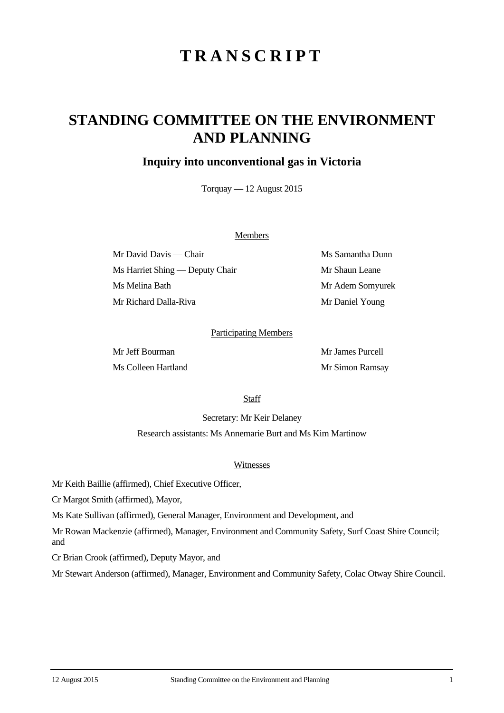# **TRANSCRIPT**

## **STANDING COMMITTEE ON THE ENVIRONMENT AND PLANNING**

## **Inquiry into unconventional gas in Victoria**

Torquay — 12 August 2015

#### Members

Mr David Davis — Chair Ms Samantha Dunn Ms Harriet Shing — Deputy Chair Mr Shaun Leane Ms Melina Bath Mr Adem Somyurek Mr Richard Dalla-Riva Mr Daniel Young

#### Participating Members

Mr Jeff Bourman Mr James Purcell Ms Colleen Hartland Mr Simon Ramsay

**Staff** 

Secretary: Mr Keir Delaney

Research assistants: Ms Annemarie Burt and Ms Kim Martinow

#### Witnesses

Mr Keith Baillie (affirmed), Chief Executive Officer,

Cr Margot Smith (affirmed), Mayor,

Ms Kate Sullivan (affirmed), General Manager, Environment and Development, and

Mr Rowan Mackenzie (affirmed), Manager, Environment and Community Safety, Surf Coast Shire Council; and

Cr Brian Crook (affirmed), Deputy Mayor, and

Mr Stewart Anderson (affirmed), Manager, Environment and Community Safety, Colac Otway Shire Council.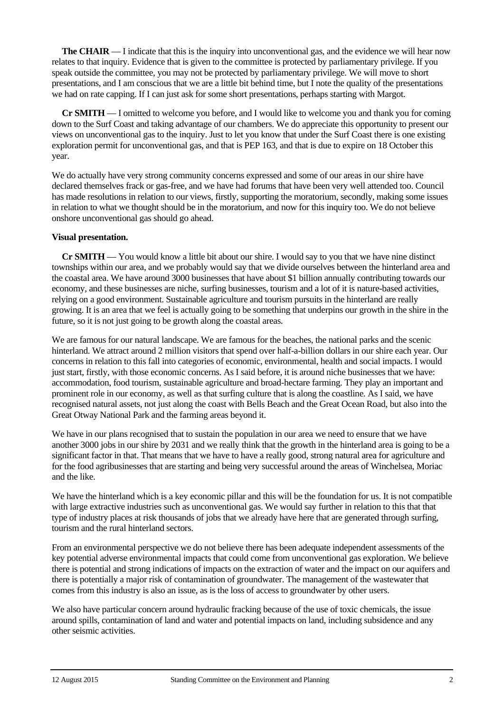**The CHAIR** — I indicate that this is the inquiry into unconventional gas, and the evidence we will hear now relates to that inquiry. Evidence that is given to the committee is protected by parliamentary privilege. If you speak outside the committee, you may not be protected by parliamentary privilege. We will move to short presentations, and I am conscious that we are a little bit behind time, but I note the quality of the presentations we had on rate capping. If I can just ask for some short presentations, perhaps starting with Margot.

**Cr SMITH** — I omitted to welcome you before, and I would like to welcome you and thank you for coming down to the Surf Coast and taking advantage of our chambers. We do appreciate this opportunity to present our views on unconventional gas to the inquiry. Just to let you know that under the Surf Coast there is one existing exploration permit for unconventional gas, and that is PEP 163, and that is due to expire on 18 October this year.

We do actually have very strong community concerns expressed and some of our areas in our shire have declared themselves frack or gas-free, and we have had forums that have been very well attended too. Council has made resolutions in relation to our views, firstly, supporting the moratorium, secondly, making some issues in relation to what we thought should be in the moratorium, and now for this inquiry too. We do not believe onshore unconventional gas should go ahead.

## **Visual presentation.**

**Cr SMITH** — You would know a little bit about our shire. I would say to you that we have nine distinct townships within our area, and we probably would say that we divide ourselves between the hinterland area and the coastal area. We have around 3000 businesses that have about \$1 billion annually contributing towards our economy, and these businesses are niche, surfing businesses, tourism and a lot of it is nature-based activities, relying on a good environment. Sustainable agriculture and tourism pursuits in the hinterland are really growing. It is an area that we feel is actually going to be something that underpins our growth in the shire in the future, so it is not just going to be growth along the coastal areas.

We are famous for our natural landscape. We are famous for the beaches, the national parks and the scenic hinterland. We attract around 2 million visitors that spend over half-a-billion dollars in our shire each year. Our concerns in relation to this fall into categories of economic, environmental, health and social impacts. I would just start, firstly, with those economic concerns. As I said before, it is around niche businesses that we have: accommodation, food tourism, sustainable agriculture and broad-hectare farming. They play an important and prominent role in our economy, as well as that surfing culture that is along the coastline. As I said, we have recognised natural assets, not just along the coast with Bells Beach and the Great Ocean Road, but also into the Great Otway National Park and the farming areas beyond it.

We have in our plans recognised that to sustain the population in our area we need to ensure that we have another 3000 jobs in our shire by 2031 and we really think that the growth in the hinterland area is going to be a significant factor in that. That means that we have to have a really good, strong natural area for agriculture and for the food agribusinesses that are starting and being very successful around the areas of Winchelsea, Moriac and the like.

We have the hinterland which is a key economic pillar and this will be the foundation for us. It is not compatible with large extractive industries such as unconventional gas. We would say further in relation to this that that type of industry places at risk thousands of jobs that we already have here that are generated through surfing, tourism and the rural hinterland sectors.

From an environmental perspective we do not believe there has been adequate independent assessments of the key potential adverse environmental impacts that could come from unconventional gas exploration. We believe there is potential and strong indications of impacts on the extraction of water and the impact on our aquifers and there is potentially a major risk of contamination of groundwater. The management of the wastewater that comes from this industry is also an issue, as is the loss of access to groundwater by other users.

We also have particular concern around hydraulic fracking because of the use of toxic chemicals, the issue around spills, contamination of land and water and potential impacts on land, including subsidence and any other seismic activities.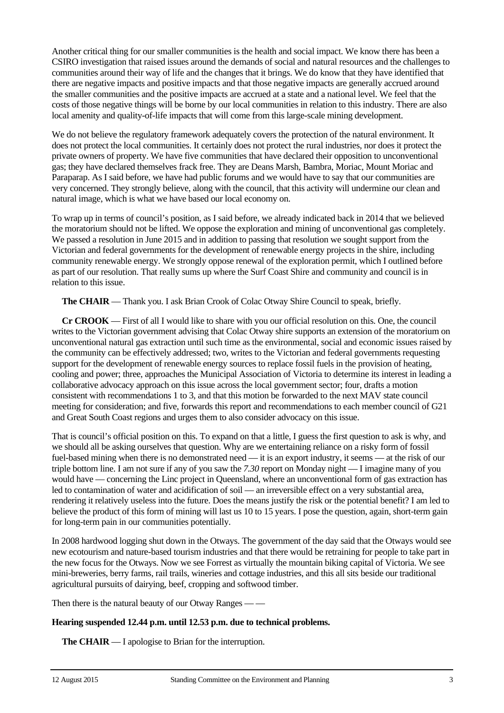Another critical thing for our smaller communities is the health and social impact. We know there has been a CSIRO investigation that raised issues around the demands of social and natural resources and the challenges to communities around their way of life and the changes that it brings. We do know that they have identified that there are negative impacts and positive impacts and that those negative impacts are generally accrued around the smaller communities and the positive impacts are accrued at a state and a national level. We feel that the costs of those negative things will be borne by our local communities in relation to this industry. There are also local amenity and quality-of-life impacts that will come from this large-scale mining development.

We do not believe the regulatory framework adequately covers the protection of the natural environment. It does not protect the local communities. It certainly does not protect the rural industries, nor does it protect the private owners of property. We have five communities that have declared their opposition to unconventional gas; they have declared themselves frack free. They are Deans Marsh, Bambra, Moriac, Mount Moriac and Paraparap. As I said before, we have had public forums and we would have to say that our communities are very concerned. They strongly believe, along with the council, that this activity will undermine our clean and natural image, which is what we have based our local economy on.

To wrap up in terms of council's position, as I said before, we already indicated back in 2014 that we believed the moratorium should not be lifted. We oppose the exploration and mining of unconventional gas completely. We passed a resolution in June 2015 and in addition to passing that resolution we sought support from the Victorian and federal governments for the development of renewable energy projects in the shire, including community renewable energy. We strongly oppose renewal of the exploration permit, which I outlined before as part of our resolution. That really sums up where the Surf Coast Shire and community and council is in relation to this issue.

**The CHAIR** — Thank you. I ask Brian Crook of Colac Otway Shire Council to speak, briefly.

**Cr CROOK** — First of all I would like to share with you our official resolution on this. One, the council writes to the Victorian government advising that Colac Otway shire supports an extension of the moratorium on unconventional natural gas extraction until such time as the environmental, social and economic issues raised by the community can be effectively addressed; two, writes to the Victorian and federal governments requesting support for the development of renewable energy sources to replace fossil fuels in the provision of heating, cooling and power; three, approaches the Municipal Association of Victoria to determine its interest in leading a collaborative advocacy approach on this issue across the local government sector; four, drafts a motion consistent with recommendations 1 to 3, and that this motion be forwarded to the next MAV state council meeting for consideration; and five, forwards this report and recommendations to each member council of G21 and Great South Coast regions and urges them to also consider advocacy on this issue.

That is council's official position on this. To expand on that a little, I guess the first question to ask is why, and we should all be asking ourselves that question. Why are we entertaining reliance on a risky form of fossil fuel-based mining when there is no demonstrated need — it is an export industry, it seems — at the risk of our triple bottom line. I am not sure if any of you saw the *7.30* report on Monday night — I imagine many of you would have — concerning the Linc project in Queensland, where an unconventional form of gas extraction has led to contamination of water and acidification of soil — an irreversible effect on a very substantial area, rendering it relatively useless into the future. Does the means justify the risk or the potential benefit? I am led to believe the product of this form of mining will last us 10 to 15 years. I pose the question, again, short-term gain for long-term pain in our communities potentially.

In 2008 hardwood logging shut down in the Otways. The government of the day said that the Otways would see new ecotourism and nature-based tourism industries and that there would be retraining for people to take part in the new focus for the Otways. Now we see Forrest as virtually the mountain biking capital of Victoria. We see mini-breweries, berry farms, rail trails, wineries and cottage industries, and this all sits beside our traditional agricultural pursuits of dairying, beef, cropping and softwood timber.

Then there is the natural beauty of our Otway Ranges — —

## **Hearing suspended 12.44 p.m. until 12.53 p.m. due to technical problems.**

**The CHAIR** — I apologise to Brian for the interruption.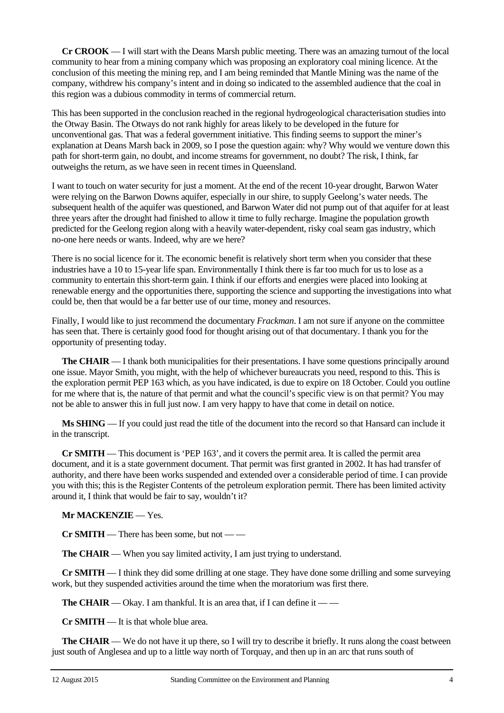**Cr CROOK** — I will start with the Deans Marsh public meeting. There was an amazing turnout of the local community to hear from a mining company which was proposing an exploratory coal mining licence. At the conclusion of this meeting the mining rep, and I am being reminded that Mantle Mining was the name of the company, withdrew his company's intent and in doing so indicated to the assembled audience that the coal in this region was a dubious commodity in terms of commercial return.

This has been supported in the conclusion reached in the regional hydrogeological characterisation studies into the Otway Basin. The Otways do not rank highly for areas likely to be developed in the future for unconventional gas. That was a federal government initiative. This finding seems to support the miner's explanation at Deans Marsh back in 2009, so I pose the question again: why? Why would we venture down this path for short-term gain, no doubt, and income streams for government, no doubt? The risk, I think, far outweighs the return, as we have seen in recent times in Queensland.

I want to touch on water security for just a moment. At the end of the recent 10-year drought, Barwon Water were relying on the Barwon Downs aquifer, especially in our shire, to supply Geelong's water needs. The subsequent health of the aquifer was questioned, and Barwon Water did not pump out of that aquifer for at least three years after the drought had finished to allow it time to fully recharge. Imagine the population growth predicted for the Geelong region along with a heavily water-dependent, risky coal seam gas industry, which no-one here needs or wants. Indeed, why are we here?

There is no social licence for it. The economic benefit is relatively short term when you consider that these industries have a 10 to 15-year life span. Environmentally I think there is far too much for us to lose as a community to entertain this short-term gain. I think if our efforts and energies were placed into looking at renewable energy and the opportunities there, supporting the science and supporting the investigations into what could be, then that would be a far better use of our time, money and resources.

Finally, I would like to just recommend the documentary *Frackman*. I am not sure if anyone on the committee has seen that. There is certainly good food for thought arising out of that documentary. I thank you for the opportunity of presenting today.

**The CHAIR** — I thank both municipalities for their presentations. I have some questions principally around one issue. Mayor Smith, you might, with the help of whichever bureaucrats you need, respond to this. This is the exploration permit PEP 163 which, as you have indicated, is due to expire on 18 October. Could you outline for me where that is, the nature of that permit and what the council's specific view is on that permit? You may not be able to answer this in full just now. I am very happy to have that come in detail on notice.

**Ms SHING** — If you could just read the title of the document into the record so that Hansard can include it in the transcript.

**Cr SMITH** — This document is 'PEP 163', and it covers the permit area. It is called the permit area document, and it is a state government document. That permit was first granted in 2002. It has had transfer of authority, and there have been works suspended and extended over a considerable period of time. I can provide you with this; this is the Register Contents of the petroleum exploration permit. There has been limited activity around it, I think that would be fair to say, wouldn't it?

## **Mr MACKENZIE** — Yes.

**Cr SMITH** — There has been some, but not — —

**The CHAIR** — When you say limited activity, I am just trying to understand.

**Cr SMITH** — I think they did some drilling at one stage. They have done some drilling and some surveying work, but they suspended activities around the time when the moratorium was first there.

**The CHAIR** — Okay. I am thankful. It is an area that, if I can define it — —

**Cr SMITH** — It is that whole blue area.

**The CHAIR** — We do not have it up there, so I will try to describe it briefly. It runs along the coast between just south of Anglesea and up to a little way north of Torquay, and then up in an arc that runs south of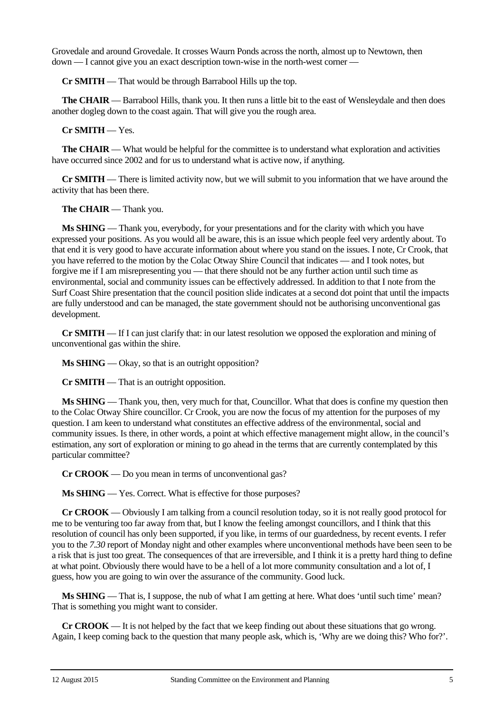Grovedale and around Grovedale. It crosses Waurn Ponds across the north, almost up to Newtown, then down — I cannot give you an exact description town-wise in the north-west corner —

**Cr SMITH** — That would be through Barrabool Hills up the top.

**The CHAIR** — Barrabool Hills, thank you. It then runs a little bit to the east of Wensleydale and then does another dogleg down to the coast again. That will give you the rough area.

**Cr SMITH** — Yes.

**The CHAIR** — What would be helpful for the committee is to understand what exploration and activities have occurred since 2002 and for us to understand what is active now, if anything.

**Cr SMITH** — There is limited activity now, but we will submit to you information that we have around the activity that has been there.

**The CHAIR** — Thank you.

**Ms SHING** — Thank you, everybody, for your presentations and for the clarity with which you have expressed your positions. As you would all be aware, this is an issue which people feel very ardently about. To that end it is very good to have accurate information about where you stand on the issues. I note, Cr Crook, that you have referred to the motion by the Colac Otway Shire Council that indicates — and I took notes, but forgive me if I am misrepresenting you — that there should not be any further action until such time as environmental, social and community issues can be effectively addressed. In addition to that I note from the Surf Coast Shire presentation that the council position slide indicates at a second dot point that until the impacts are fully understood and can be managed, the state government should not be authorising unconventional gas development.

**Cr SMITH** — If I can just clarify that: in our latest resolution we opposed the exploration and mining of unconventional gas within the shire.

Ms **SHING** — Okay, so that is an outright opposition?

**Cr SMITH** — That is an outright opposition.

**Ms SHING** — Thank you, then, very much for that, Councillor. What that does is confine my question then to the Colac Otway Shire councillor. Cr Crook, you are now the focus of my attention for the purposes of my question. I am keen to understand what constitutes an effective address of the environmental, social and community issues. Is there, in other words, a point at which effective management might allow, in the council's estimation, any sort of exploration or mining to go ahead in the terms that are currently contemplated by this particular committee?

**Cr CROOK** — Do you mean in terms of unconventional gas?

**Ms SHING** — Yes. Correct. What is effective for those purposes?

**Cr CROOK** — Obviously I am talking from a council resolution today, so it is not really good protocol for me to be venturing too far away from that, but I know the feeling amongst councillors, and I think that this resolution of council has only been supported, if you like, in terms of our guardedness, by recent events. I refer you to the *7.30* report of Monday night and other examples where unconventional methods have been seen to be a risk that is just too great. The consequences of that are irreversible, and I think it is a pretty hard thing to define at what point. Obviously there would have to be a hell of a lot more community consultation and a lot of, I guess, how you are going to win over the assurance of the community. Good luck.

**Ms SHING** — That is, I suppose, the nub of what I am getting at here. What does 'until such time' mean? That is something you might want to consider.

**Cr CROOK** — It is not helped by the fact that we keep finding out about these situations that go wrong. Again, I keep coming back to the question that many people ask, which is, 'Why are we doing this? Who for?'.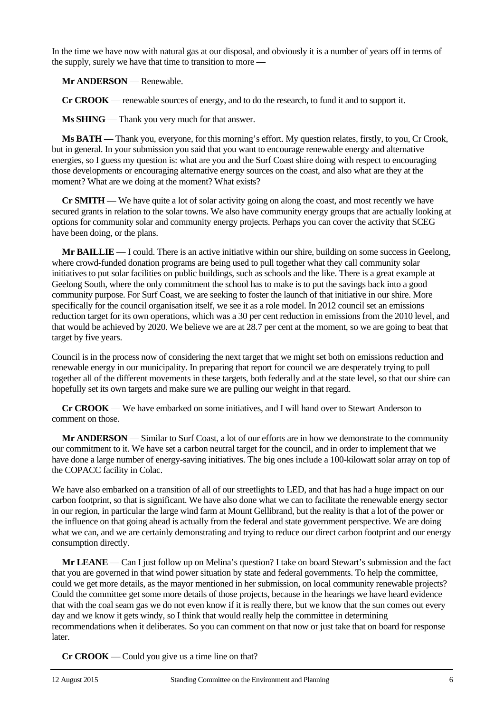In the time we have now with natural gas at our disposal, and obviously it is a number of years off in terms of the supply, surely we have that time to transition to more —

**Mr ANDERSON** — Renewable.

**Cr CROOK** — renewable sources of energy, and to do the research, to fund it and to support it.

**Ms SHING** — Thank you very much for that answer.

**Ms BATH** — Thank you, everyone, for this morning's effort. My question relates, firstly, to you, Cr Crook, but in general. In your submission you said that you want to encourage renewable energy and alternative energies, so I guess my question is: what are you and the Surf Coast shire doing with respect to encouraging those developments or encouraging alternative energy sources on the coast, and also what are they at the moment? What are we doing at the moment? What exists?

**Cr SMITH** — We have quite a lot of solar activity going on along the coast, and most recently we have secured grants in relation to the solar towns. We also have community energy groups that are actually looking at options for community solar and community energy projects. Perhaps you can cover the activity that SCEG have been doing, or the plans.

**Mr BAILLIE** — I could. There is an active initiative within our shire, building on some success in Geelong, where crowd-funded donation programs are being used to pull together what they call community solar initiatives to put solar facilities on public buildings, such as schools and the like. There is a great example at Geelong South, where the only commitment the school has to make is to put the savings back into a good community purpose. For Surf Coast, we are seeking to foster the launch of that initiative in our shire. More specifically for the council organisation itself, we see it as a role model. In 2012 council set an emissions reduction target for its own operations, which was a 30 per cent reduction in emissions from the 2010 level, and that would be achieved by 2020. We believe we are at 28.7 per cent at the moment, so we are going to beat that target by five years.

Council is in the process now of considering the next target that we might set both on emissions reduction and renewable energy in our municipality. In preparing that report for council we are desperately trying to pull together all of the different movements in these targets, both federally and at the state level, so that our shire can hopefully set its own targets and make sure we are pulling our weight in that regard.

**Cr CROOK** — We have embarked on some initiatives, and I will hand over to Stewart Anderson to comment on those.

**Mr ANDERSON** — Similar to Surf Coast, a lot of our efforts are in how we demonstrate to the community our commitment to it. We have set a carbon neutral target for the council, and in order to implement that we have done a large number of energy-saving initiatives. The big ones include a 100-kilowatt solar array on top of the COPACC facility in Colac.

We have also embarked on a transition of all of our streetlights to LED, and that has had a huge impact on our carbon footprint, so that is significant. We have also done what we can to facilitate the renewable energy sector in our region, in particular the large wind farm at Mount Gellibrand, but the reality is that a lot of the power or the influence on that going ahead is actually from the federal and state government perspective. We are doing what we can, and we are certainly demonstrating and trying to reduce our direct carbon footprint and our energy consumption directly.

**Mr LEANE** — Can I just follow up on Melina's question? I take on board Stewart's submission and the fact that you are governed in that wind power situation by state and federal governments. To help the committee, could we get more details, as the mayor mentioned in her submission, on local community renewable projects? Could the committee get some more details of those projects, because in the hearings we have heard evidence that with the coal seam gas we do not even know if it is really there, but we know that the sun comes out every day and we know it gets windy, so I think that would really help the committee in determining recommendations when it deliberates. So you can comment on that now or just take that on board for response later.

**Cr CROOK** — Could you give us a time line on that?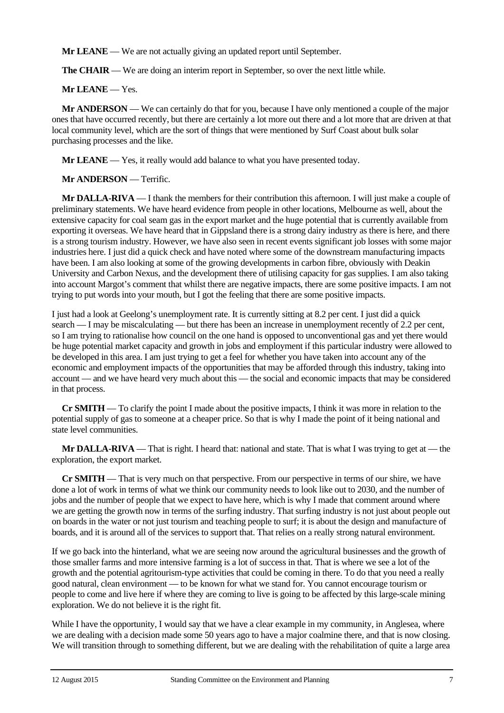**Mr LEANE** — We are not actually giving an updated report until September.

**The CHAIR** — We are doing an interim report in September, so over the next little while.

## **Mr LEANE** — Yes.

**Mr ANDERSON** — We can certainly do that for you, because I have only mentioned a couple of the major ones that have occurred recently, but there are certainly a lot more out there and a lot more that are driven at that local community level, which are the sort of things that were mentioned by Surf Coast about bulk solar purchasing processes and the like.

**Mr LEANE** — Yes, it really would add balance to what you have presented today.

**Mr ANDERSON** — Terrific.

**Mr DALLA-RIVA** — I thank the members for their contribution this afternoon. I will just make a couple of preliminary statements. We have heard evidence from people in other locations, Melbourne as well, about the extensive capacity for coal seam gas in the export market and the huge potential that is currently available from exporting it overseas. We have heard that in Gippsland there is a strong dairy industry as there is here, and there is a strong tourism industry. However, we have also seen in recent events significant job losses with some major industries here. I just did a quick check and have noted where some of the downstream manufacturing impacts have been. I am also looking at some of the growing developments in carbon fibre, obviously with Deakin University and Carbon Nexus, and the development there of utilising capacity for gas supplies. I am also taking into account Margot's comment that whilst there are negative impacts, there are some positive impacts. I am not trying to put words into your mouth, but I got the feeling that there are some positive impacts.

I just had a look at Geelong's unemployment rate. It is currently sitting at 8.2 per cent. I just did a quick search — I may be miscalculating — but there has been an increase in unemployment recently of 2.2 per cent, so I am trying to rationalise how council on the one hand is opposed to unconventional gas and yet there would be huge potential market capacity and growth in jobs and employment if this particular industry were allowed to be developed in this area. I am just trying to get a feel for whether you have taken into account any of the economic and employment impacts of the opportunities that may be afforded through this industry, taking into account — and we have heard very much about this — the social and economic impacts that may be considered in that process.

**Cr SMITH** — To clarify the point I made about the positive impacts, I think it was more in relation to the potential supply of gas to someone at a cheaper price. So that is why I made the point of it being national and state level communities.

**Mr DALLA-RIVA** — That is right. I heard that: national and state. That is what I was trying to get at — the exploration, the export market.

**Cr SMITH** — That is very much on that perspective. From our perspective in terms of our shire, we have done a lot of work in terms of what we think our community needs to look like out to 2030, and the number of jobs and the number of people that we expect to have here, which is why I made that comment around where we are getting the growth now in terms of the surfing industry. That surfing industry is not just about people out on boards in the water or not just tourism and teaching people to surf; it is about the design and manufacture of boards, and it is around all of the services to support that. That relies on a really strong natural environment.

If we go back into the hinterland, what we are seeing now around the agricultural businesses and the growth of those smaller farms and more intensive farming is a lot of success in that. That is where we see a lot of the growth and the potential agritourism-type activities that could be coming in there. To do that you need a really good natural, clean environment — to be known for what we stand for. You cannot encourage tourism or people to come and live here if where they are coming to live is going to be affected by this large-scale mining exploration. We do not believe it is the right fit.

While I have the opportunity, I would say that we have a clear example in my community, in Anglesea, where we are dealing with a decision made some 50 years ago to have a major coalmine there, and that is now closing. We will transition through to something different, but we are dealing with the rehabilitation of quite a large area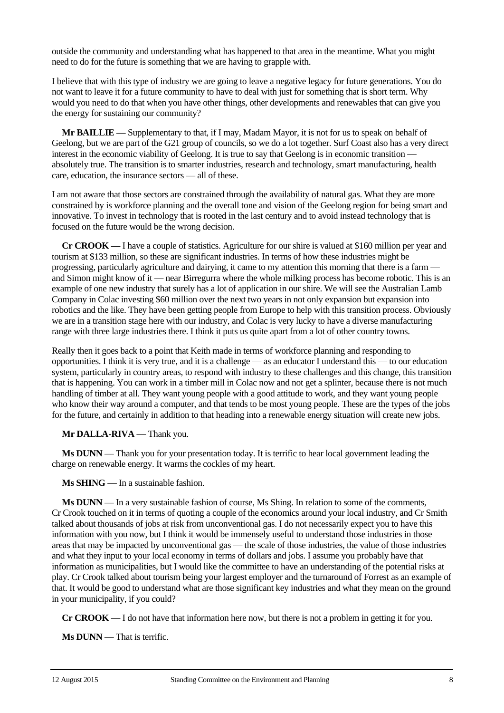outside the community and understanding what has happened to that area in the meantime. What you might need to do for the future is something that we are having to grapple with.

I believe that with this type of industry we are going to leave a negative legacy for future generations. You do not want to leave it for a future community to have to deal with just for something that is short term. Why would you need to do that when you have other things, other developments and renewables that can give you the energy for sustaining our community?

**Mr BAILLIE** — Supplementary to that, if I may, Madam Mayor, it is not for us to speak on behalf of Geelong, but we are part of the G21 group of councils, so we do a lot together. Surf Coast also has a very direct interest in the economic viability of Geelong. It is true to say that Geelong is in economic transition absolutely true. The transition is to smarter industries, research and technology, smart manufacturing, health care, education, the insurance sectors — all of these.

I am not aware that those sectors are constrained through the availability of natural gas. What they are more constrained by is workforce planning and the overall tone and vision of the Geelong region for being smart and innovative. To invest in technology that is rooted in the last century and to avoid instead technology that is focused on the future would be the wrong decision.

**Cr CROOK** — I have a couple of statistics. Agriculture for our shire is valued at \$160 million per year and tourism at \$133 million, so these are significant industries. In terms of how these industries might be progressing, particularly agriculture and dairying, it came to my attention this morning that there is a farm and Simon might know of it — near Birregurra where the whole milking process has become robotic. This is an example of one new industry that surely has a lot of application in our shire. We will see the Australian Lamb Company in Colac investing \$60 million over the next two years in not only expansion but expansion into robotics and the like. They have been getting people from Europe to help with this transition process. Obviously we are in a transition stage here with our industry, and Colac is very lucky to have a diverse manufacturing range with three large industries there. I think it puts us quite apart from a lot of other country towns.

Really then it goes back to a point that Keith made in terms of workforce planning and responding to opportunities. I think it is very true, and it is a challenge — as an educator I understand this — to our education system, particularly in country areas, to respond with industry to these challenges and this change, this transition that is happening. You can work in a timber mill in Colac now and not get a splinter, because there is not much handling of timber at all. They want young people with a good attitude to work, and they want young people who know their way around a computer, and that tends to be most young people. These are the types of the jobs for the future, and certainly in addition to that heading into a renewable energy situation will create new jobs.

**Mr DALLA-RIVA** — Thank you.

**Ms DUNN** — Thank you for your presentation today. It is terrific to hear local government leading the charge on renewable energy. It warms the cockles of my heart.

**Ms SHING** — In a sustainable fashion.

**Ms DUNN** — In a very sustainable fashion of course, Ms Shing. In relation to some of the comments, Cr Crook touched on it in terms of quoting a couple of the economics around your local industry, and Cr Smith talked about thousands of jobs at risk from unconventional gas. I do not necessarily expect you to have this information with you now, but I think it would be immensely useful to understand those industries in those areas that may be impacted by unconventional gas — the scale of those industries, the value of those industries and what they input to your local economy in terms of dollars and jobs. I assume you probably have that information as municipalities, but I would like the committee to have an understanding of the potential risks at play. Cr Crook talked about tourism being your largest employer and the turnaround of Forrest as an example of that. It would be good to understand what are those significant key industries and what they mean on the ground in your municipality, if you could?

**Cr CROOK** — I do not have that information here now, but there is not a problem in getting it for you.

**Ms DUNN** — That is terrific.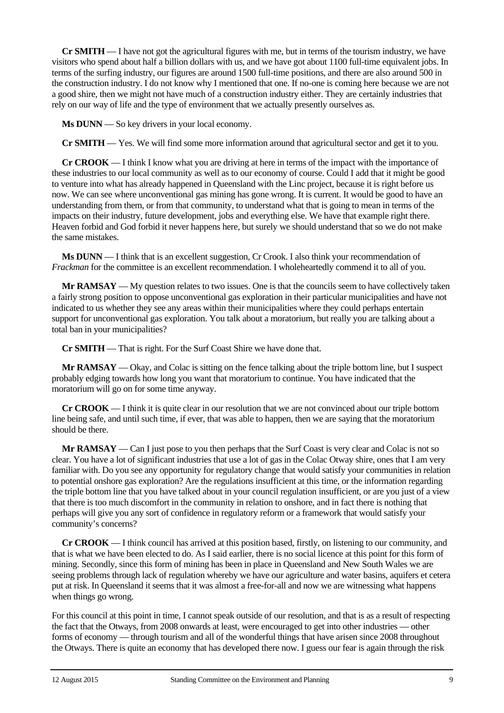**Cr SMITH** — I have not got the agricultural figures with me, but in terms of the tourism industry, we have visitors who spend about half a billion dollars with us, and we have got about 1100 full-time equivalent jobs. In terms of the surfing industry, our figures are around 1500 full-time positions, and there are also around 500 in the construction industry. I do not know why I mentioned that one. If no-one is coming here because we are not a good shire, then we might not have much of a construction industry either. They are certainly industries that rely on our way of life and the type of environment that we actually presently ourselves as.

**Ms DUNN** — So key drivers in your local economy.

**Cr SMITH** — Yes. We will find some more information around that agricultural sector and get it to you.

**Cr CROOK** — I think I know what you are driving at here in terms of the impact with the importance of these industries to our local community as well as to our economy of course. Could I add that it might be good to venture into what has already happened in Queensland with the Linc project, because it is right before us now. We can see where unconventional gas mining has gone wrong. It is current. It would be good to have an understanding from them, or from that community, to understand what that is going to mean in terms of the impacts on their industry, future development, jobs and everything else. We have that example right there. Heaven forbid and God forbid it never happens here, but surely we should understand that so we do not make the same mistakes.

**Ms DUNN** — I think that is an excellent suggestion, Cr Crook. I also think your recommendation of *Frackman* for the committee is an excellent recommendation. I wholeheartedly commend it to all of you.

**Mr RAMSAY** — My question relates to two issues. One is that the councils seem to have collectively taken a fairly strong position to oppose unconventional gas exploration in their particular municipalities and have not indicated to us whether they see any areas within their municipalities where they could perhaps entertain support for unconventional gas exploration. You talk about a moratorium, but really you are talking about a total ban in your municipalities?

**Cr SMITH** — That is right. For the Surf Coast Shire we have done that.

**Mr RAMSAY** — Okay, and Colac is sitting on the fence talking about the triple bottom line, but I suspect probably edging towards how long you want that moratorium to continue. You have indicated that the moratorium will go on for some time anyway.

**Cr CROOK** — I think it is quite clear in our resolution that we are not convinced about our triple bottom line being safe, and until such time, if ever, that was able to happen, then we are saying that the moratorium should be there.

**Mr RAMSAY** — Can I just pose to you then perhaps that the Surf Coast is very clear and Colac is not so clear. You have a lot of significant industries that use a lot of gas in the Colac Otway shire, ones that I am very familiar with. Do you see any opportunity for regulatory change that would satisfy your communities in relation to potential onshore gas exploration? Are the regulations insufficient at this time, or the information regarding the triple bottom line that you have talked about in your council regulation insufficient, or are you just of a view that there is too much discomfort in the community in relation to onshore, and in fact there is nothing that perhaps will give you any sort of confidence in regulatory reform or a framework that would satisfy your community's concerns?

**Cr CROOK** — I think council has arrived at this position based, firstly, on listening to our community, and that is what we have been elected to do. As I said earlier, there is no social licence at this point for this form of mining. Secondly, since this form of mining has been in place in Queensland and New South Wales we are seeing problems through lack of regulation whereby we have our agriculture and water basins, aquifers et cetera put at risk. In Queensland it seems that it was almost a free-for-all and now we are witnessing what happens when things go wrong.

For this council at this point in time, I cannot speak outside of our resolution, and that is as a result of respecting the fact that the Otways, from 2008 onwards at least, were encouraged to get into other industries — other forms of economy — through tourism and all of the wonderful things that have arisen since 2008 throughout the Otways. There is quite an economy that has developed there now. I guess our fear is again through the risk